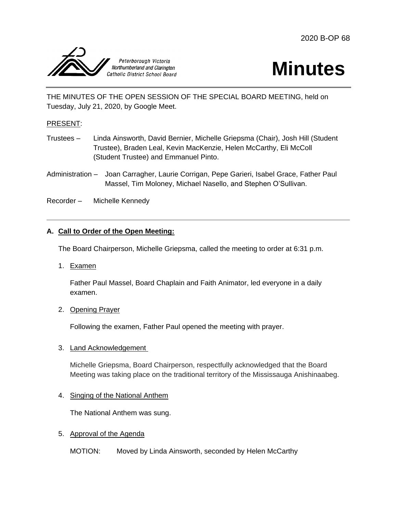



THE MINUTES OF THE OPEN SESSION OF THE SPECIAL BOARD MEETING, held on Tuesday, July 21, 2020, by Google Meet.

### PRESENT:

- Trustees Linda Ainsworth, David Bernier, Michelle Griepsma (Chair), Josh Hill (Student Trustee), Braden Leal, Kevin MacKenzie, Helen McCarthy, Eli McColl (Student Trustee) and Emmanuel Pinto.
- Administration Joan Carragher, Laurie Corrigan, Pepe Garieri, Isabel Grace, Father Paul Massel, Tim Moloney, Michael Nasello, and Stephen O'Sullivan.

Recorder – Michelle Kennedy

# **A. Call to Order of the Open Meeting:**

The Board Chairperson, Michelle Griepsma, called the meeting to order at 6:31 p.m.

1. Examen

Father Paul Massel, Board Chaplain and Faith Animator, led everyone in a daily examen.

2. Opening Prayer

Following the examen, Father Paul opened the meeting with prayer.

#### 3. Land Acknowledgement

Michelle Griepsma, Board Chairperson, respectfully acknowledged that the Board Meeting was taking place on the traditional territory of the Mississauga Anishinaabeg.

#### 4. Singing of the National Anthem

The National Anthem was sung.

#### 5. Approval of the Agenda

MOTION: Moved by Linda Ainsworth, seconded by Helen McCarthy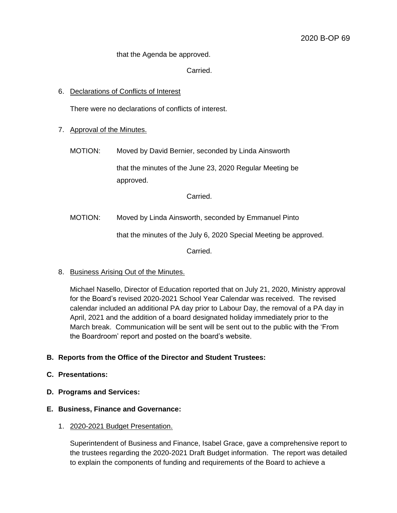that the Agenda be approved.

Carried.

#### 6. Declarations of Conflicts of Interest

There were no declarations of conflicts of interest.

- 7. Approval of the Minutes.
	- MOTION: Moved by David Bernier, seconded by Linda Ainsworth

that the minutes of the June 23, 2020 Regular Meeting be approved.

Carried.

MOTION: Moved by Linda Ainsworth, seconded by Emmanuel Pinto

that the minutes of the July 6, 2020 Special Meeting be approved.

Carried.

8. Business Arising Out of the Minutes.

Michael Nasello, Director of Education reported that on July 21, 2020, Ministry approval for the Board's revised 2020-2021 School Year Calendar was received. The revised calendar included an additional PA day prior to Labour Day, the removal of a PA day in April, 2021 and the addition of a board designated holiday immediately prior to the March break. Communication will be sent will be sent out to the public with the 'From the Boardroom' report and posted on the board's website.

# **B. Reports from the Office of the Director and Student Trustees:**

### **C. Presentations:**

**D. Programs and Services:**

#### **E. Business, Finance and Governance:**

1. 2020-2021 Budget Presentation.

Superintendent of Business and Finance, Isabel Grace, gave a comprehensive report to the trustees regarding the 2020-2021 Draft Budget information. The report was detailed to explain the components of funding and requirements of the Board to achieve a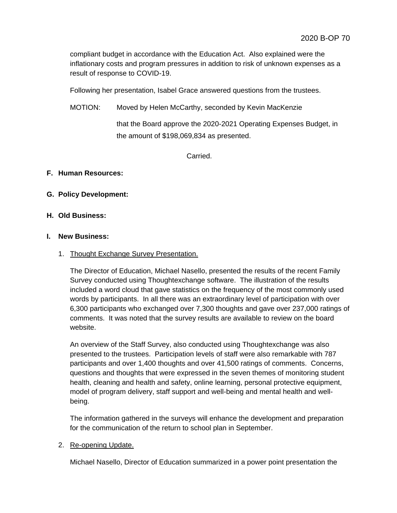compliant budget in accordance with the Education Act. Also explained were the inflationary costs and program pressures in addition to risk of unknown expenses as a result of response to COVID-19.

Following her presentation, Isabel Grace answered questions from the trustees.

MOTION: Moved by Helen McCarthy, seconded by Kevin MacKenzie

that the Board approve the 2020-2021 Operating Expenses Budget, in the amount of \$198,069,834 as presented.

Carried.

### **F. Human Resources:**

### **G. Policy Development:**

#### **H. Old Business:**

#### **I. New Business:**

1. Thought Exchange Survey Presentation.

The Director of Education, Michael Nasello, presented the results of the recent Family Survey conducted using Thoughtexchange software. The illustration of the results included a word cloud that gave statistics on the frequency of the most commonly used words by participants. In all there was an extraordinary level of participation with over 6,300 participants who exchanged over 7,300 thoughts and gave over 237,000 ratings of comments. It was noted that the survey results are available to review on the board website.

An overview of the Staff Survey, also conducted using Thoughtexchange was also presented to the trustees. Participation levels of staff were also remarkable with 787 participants and over 1,400 thoughts and over 41,500 ratings of comments. Concerns, questions and thoughts that were expressed in the seven themes of monitoring student health, cleaning and health and safety, online learning, personal protective equipment, model of program delivery, staff support and well-being and mental health and wellbeing.

The information gathered in the surveys will enhance the development and preparation for the communication of the return to school plan in September.

#### 2. Re-opening Update.

Michael Nasello, Director of Education summarized in a power point presentation the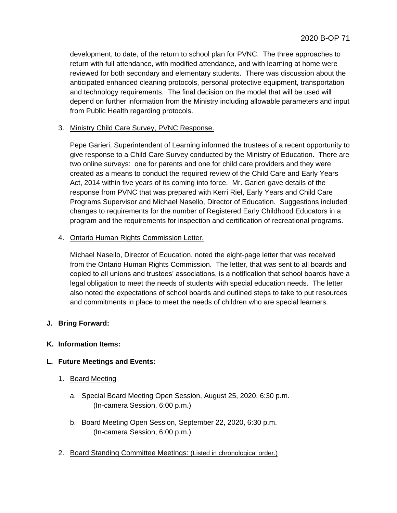development, to date, of the return to school plan for PVNC. The three approaches to return with full attendance, with modified attendance, and with learning at home were reviewed for both secondary and elementary students. There was discussion about the anticipated enhanced cleaning protocols, personal protective equipment, transportation and technology requirements. The final decision on the model that will be used will depend on further information from the Ministry including allowable parameters and input from Public Health regarding protocols.

### 3. Ministry Child Care Survey, PVNC Response.

Pepe Garieri, Superintendent of Learning informed the trustees of a recent opportunity to give response to a Child Care Survey conducted by the Ministry of Education. There are two online surveys: one for parents and one for child care providers and they were created as a means to conduct the required review of the Child Care and Early Years Act, 2014 within five years of its coming into force. Mr. Garieri gave details of the response from PVNC that was prepared with Kerri Riel, Early Years and Child Care Programs Supervisor and Michael Nasello, Director of Education. Suggestions included changes to requirements for the number of Registered Early Childhood Educators in a program and the requirements for inspection and certification of recreational programs.

### 4. Ontario Human Rights Commission Letter.

Michael Nasello, Director of Education, noted the eight-page letter that was received from the Ontario Human Rights Commission. The letter, that was sent to all boards and copied to all unions and trustees' associations, is a notification that school boards have a legal obligation to meet the needs of students with special education needs. The letter also noted the expectations of school boards and outlined steps to take to put resources and commitments in place to meet the needs of children who are special learners.

# **J. Bring Forward:**

# **K. Information Items:**

# **L. Future Meetings and Events:**

- 1. Board Meeting
	- a. Special Board Meeting Open Session, August 25, 2020, 6:30 p.m. (In-camera Session, 6:00 p.m.)
	- b. Board Meeting Open Session, September 22, 2020, 6:30 p.m. (In-camera Session, 6:00 p.m.)
- 2. Board Standing Committee Meetings: (Listed in chronological order.)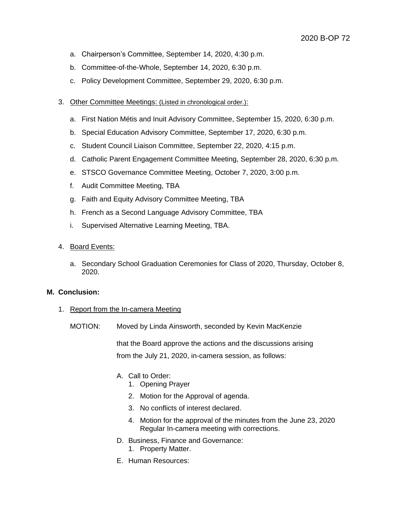- a. Chairperson's Committee, September 14, 2020, 4:30 p.m.
- b. Committee-of-the-Whole, September 14, 2020, 6:30 p.m.
- c. Policy Development Committee, September 29, 2020, 6:30 p.m.
- 3. Other Committee Meetings: (Listed in chronological order.):
	- a. First Nation Métis and Inuit Advisory Committee, September 15, 2020, 6:30 p.m.
	- b. Special Education Advisory Committee, September 17, 2020, 6:30 p.m.
	- c. Student Council Liaison Committee, September 22, 2020, 4:15 p.m.
	- d. Catholic Parent Engagement Committee Meeting, September 28, 2020, 6:30 p.m.
	- e. STSCO Governance Committee Meeting, October 7, 2020, 3:00 p.m.
	- f. Audit Committee Meeting, TBA
	- g. Faith and Equity Advisory Committee Meeting, TBA
	- h. French as a Second Language Advisory Committee, TBA
	- i. Supervised Alternative Learning Meeting, TBA.
- 4. Board Events:
	- a. Secondary School Graduation Ceremonies for Class of 2020, Thursday, October 8, 2020.

# **M. Conclusion:**

- 1. Report from the In-camera Meeting
	- MOTION: Moved by Linda Ainsworth, seconded by Kevin MacKenzie

that the Board approve the actions and the discussions arising from the July 21, 2020, in-camera session, as follows:

- A. Call to Order:
	- 1. Opening Prayer
	- 2. Motion for the Approval of agenda.
	- 3. No conflicts of interest declared.
	- 4. Motion for the approval of the minutes from the June 23, 2020 Regular In-camera meeting with corrections.
- D. Business, Finance and Governance:
	- 1. Property Matter.
- E. Human Resources: